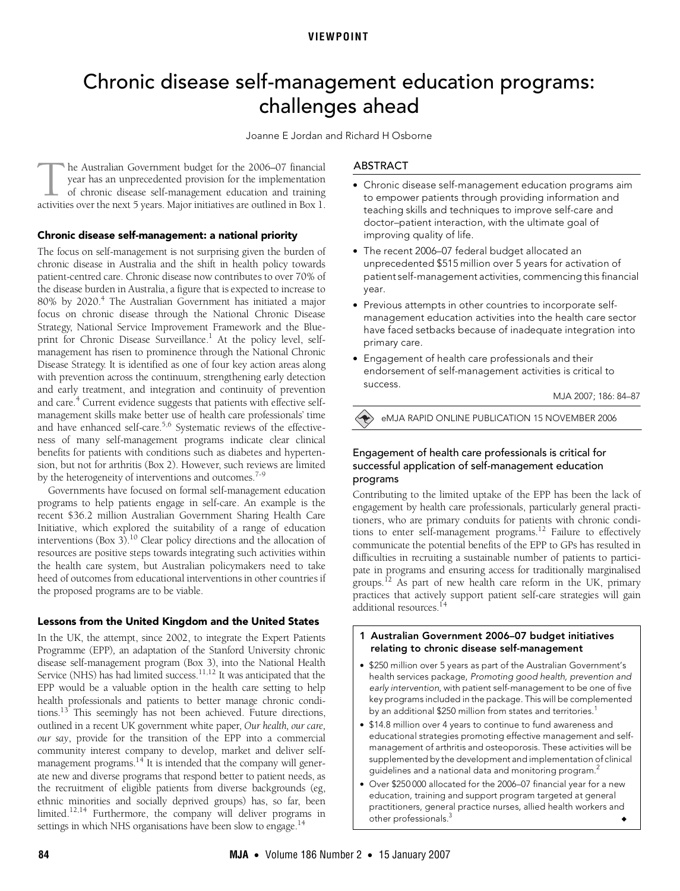## **VIEWPOINT**

# <span id="page-0-0"></span>Chronic disease self-management education programs: challenges ahead

Joanne E Jordan and Richard H Osborne

he Australian Government budget for the 2006–07 financial year has an unprecedented provision for the implementation of chronic disease self-management education and training The Australian Government budget for the 2006–07 financial year has an unprecedented provision for the implementation of chronic disease self-management education and training activities over the next 5 years. Major initia

#### **Chronic disease self-management: a national priority**

chronic disease in Australia and the shift in health policy towards patient-centred care. Chronic disease now contributes to over 70% of ©The Medical Journal of Australia 2006 the disease burden in Australia, a figure that is expected to increase to 80% by 2020.<sup>4</sup> The Australian Government has initiated a major The focus on self-management is not surprising given the burden of focus on chronic disease through the National Chronic Disease Strategy, National Service Improvement Framework and the Blue-print for Chronic Disease Surveillance.<sup>[1](#page-3-1)</sup> At the policy level, selfmanagement has risen to prominence through the National Chronic Disease Strategy. It is identified as one of four key action areas along with prevention across the continuum, strengthening early detection and early treatment, and integration and continuity of prevention and care.<sup>4</sup> Current evidence suggests that patients with effective selfmanagement skills make better use of health care professionals' time and have enhanced self-care.<sup>[5](#page-3-2),[6](#page-3-3)</sup> Systematic reviews of the effectiveness of many self-management programs indicate clear clinical benefits for patients with conditions such as diabetes and hypertension, but not for arthritis ([Box 2\)](#page-1-0). However, such reviews are limited by the heterogeneity of interventions and outcomes.<sup>7-[9](#page-3-5)</sup>

Governments have focused on formal self-management education programs to help patients engage in self-care. An example is the recent \$36.2 million Australian Government Sharing Health Care Initiative, which explored the suitability of a range of education interventions ([Box 3](#page-1-1)).<sup>[10](#page-3-6)</sup> Clear policy directions and the allocation of resources are positive steps towards integrating such activities within the health care system, but Australian policymakers need to take heed of outcomes from educational interventions in other countries if the proposed programs are to be viable.

#### **Lessons from the United Kingdom and the United States**

In the UK, the attempt, since 2002, to integrate the Expert Patients Programme (EPP)*,* an adaptation of the Stanford University chronic disease self-management program ([Box 3\)](#page-1-1), into the National Health Service (NHS) has had limited success.<sup>[11](#page-3-9)[,12](#page-3-10)</sup> It was anticipated that the EPP would be a valuable option in the health care setting to help health professionals and patients to better manage chronic conditions[.13](#page-3-11) This seemingly has not been achieved. Future directions, outlined in a recent UK government white paper, *Our health, our care, our say*, provide for the transition of the EPP into a commercial community interest company to develop, market and deliver selfmanagement programs. $14$ <sup>T</sup> It is intended that the company will generate new and diverse programs that respond better to patient needs, as the recruitment of eligible patients from diverse backgrounds (eg, ethnic minorities and socially deprived groups) has, so far, been limited.<sup>[12](#page-3-10)[,14](#page-3-12)</sup> Furthermore, the company will deliver programs in settings in which NHS organisations have been slow to engage.<sup>14</sup>

#### ABSTRACT

- **•** Chronic disease self-management education programs aim to empower patients through providing information and teaching skills and techniques to improve self-care and doctor–patient interaction, with the ultimate goal of improving quality of life.
- **•** The recent 2006–07 federal budget allocated an unprecedented \$515 million over 5 years for activation of patient self-management activities, commencing this financial year.
- **•** Previous attempts in other countries to incorporate selfmanagement education activities into the health care sector have faced setbacks because of inadequate integration into primary care.
- **•** Engagement of health care professionals and their endorsement of self-management activities is critical to success.

MJA 2007; 186: 84–87

eMJA RAPID ONLINE PUBLICATION 15 NOVEMBER 2006

# Engagement of health care professionals is critical for successful application of self-management education programs

Contributing to the limited uptake of the EPP has been the lack of engagement by health care professionals, particularly general practitioners, who are primary conduits for patients with chronic conditions to enter self-management programs[.12](#page-3-10) Failure to effectively communicate the potential benefits of the EPP to GPs has resulted in difficulties in recruiting a sustainable number of patients to participate in programs and ensuring access for traditionally marginalised groups.<sup>12</sup> As part of new health care reform in the UK, primary practices that actively support patient self-care strategies will gain additional resources.<sup>1</sup>

- <span id="page-0-1"></span>**1 Australian Government 2006–07 budget initiatives relating to chronic disease self-management**
- **•** \$250 million over 5 years as part of the Australian Government's health services package, Promoting good health, prevention and early intervention, with patient self-management to be one of five key programs included in the package. This will be complemented by an additional \$250 million from states and territories.<sup>[1](#page-3-1)</sup>
- **•** \$14.8 million over 4 years to continue to fund awareness and educational strategies promoting effective management and selfmanagement of arthritis and osteoporosis. These activities will be supplemented by the development and implementation of clinical guidelines and a national data and monitoring program.<sup>[2](#page-3-7)</sup>
- **•** Over \$250 000 allocated for the 2006–07 financial year for a new education, training and support program targeted at general practitioners, general practice nurses, allied health workers and other professionals.<sup>3</sup>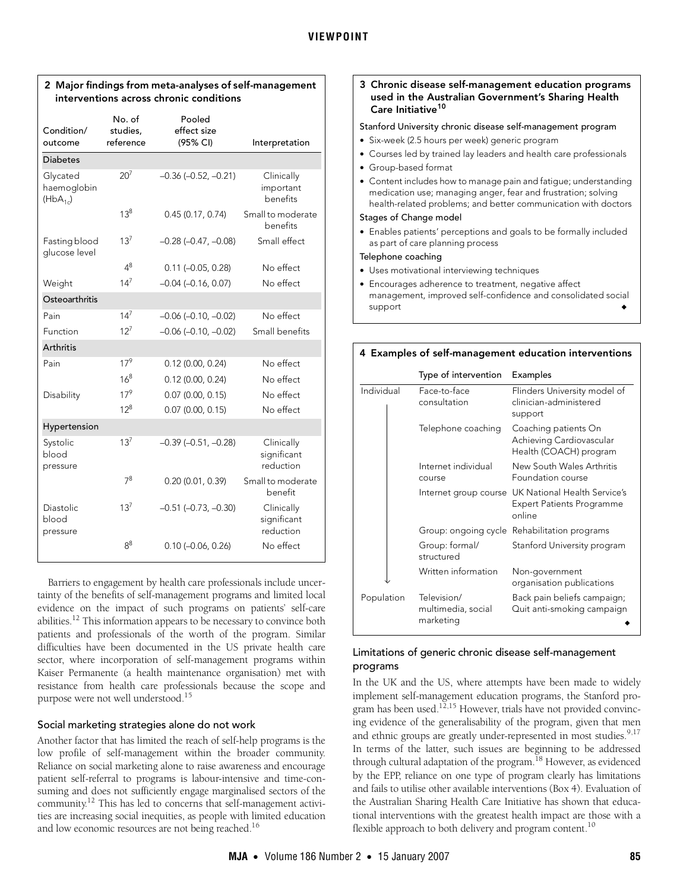# <span id="page-1-0"></span>**2 Major findings from meta-analyses of self-management interventions across chronic conditions**

| Condition/<br>outcome                           | No. of<br>studies,<br>reference | Pooled<br>effect size<br>(95% CI) | Interpretation                         |
|-------------------------------------------------|---------------------------------|-----------------------------------|----------------------------------------|
| <b>Diabetes</b>                                 |                                 |                                   |                                        |
| Glycated<br>haemoglobin<br>(HbA <sub>1c</sub> ) | $20^{7}$                        | $-0.36$ $(-0.52, -0.21)$          | Clinically<br>important<br>benefits    |
|                                                 | $13^{8}$                        | 0.45(0.17, 0.74)                  | Small to moderate<br>benefits          |
| Fasting blood<br>glucose level                  | $13^{7}$                        | $-0.28$ $(-0.47, -0.08)$          | Small effect                           |
|                                                 | $4^8$                           | $0.11 (-0.05, 0.28)$              | No effect                              |
| Weight                                          | $14^{7}$                        | $-0.04$ $(-0.16, 0.07)$           | No effect                              |
| Osteoarthritis                                  |                                 |                                   |                                        |
| Pain                                            | $14^{7}$                        | $-0.06$ $(-0.10, -0.02)$          | No effect                              |
| Function                                        | $12^{7}$                        | $-0.06$ $(-0.10, -0.02)$          | Small benefits                         |
| <b>Arthritis</b>                                |                                 |                                   |                                        |
| Pain                                            | $17^{9}$                        | $0.12$ (0.00, 0.24)               | No effect                              |
|                                                 | $16^{8}$                        | $0.12$ (0.00, 0.24)               | No effect                              |
| Disability                                      | $17^{9}$                        | $0.07$ (0.00, 0.15)               | No effect                              |
|                                                 | $12^{8}$                        | $0.07$ (0.00, 0.15)               | No effect                              |
| Hypertension                                    |                                 |                                   |                                        |
| Systolic<br>blood<br>pressure                   | $13^{7}$                        | $-0.39$ $(-0.51, -0.28)$          | Clinically<br>significant<br>reduction |
|                                                 | $7^{8}$                         | 0.20(0.01, 0.39)                  | Small to moderate<br>benefit           |
| Diastolic<br>blood<br>pressure                  | $13^{7}$                        | $-0.51$ $(-0.73, -0.30)$          | Clinically<br>significant<br>reduction |
|                                                 | $8^8$                           | $0.10 (-0.06, 0.26)$              | No effect                              |

Barriers to engagement by health care professionals include uncertainty of the benefits of self-management programs and limited local evidence on the impact of such programs on patients' self-care abilities[.12](#page-3-10) This information appears to be necessary to convince both patients and professionals of the worth of the program. Similar difficulties have been documented in the US private health care sector, where incorporation of self-management programs within Kaiser Permanente (a health maintenance organisation) met with resistance from health care professionals because the scope and purpose were not well understood[.15](#page-3-14)

# Social marketing strategies alone do not work

Another factor that has limited the reach of self-help programs is the low profile of self-management within the broader community. Reliance on social marketing alone to raise awareness and encourage patient self-referral to programs is labour-intensive and time-consuming and does not sufficiently engage marginalised sectors of the community[.12](#page-3-10) This has led to concerns that self-management activities are increasing social inequities, as people with limited education and low economic resources are not being reached.<sup>16</sup>

## <span id="page-1-1"></span>**3 Chronic disease self-management education programs used in the Australian Government's Sharing Health Care Initiative[10](#page-3-6)**

#### Stanford University chronic disease self-management program

- **•** Six-week (2.5 hours per week) generic program
- **•** Courses led by trained lay leaders and health care professionals
- **•** Group-based format
- **•** Content includes how to manage pain and fatigue; understanding medication use; managing anger, fear and frustration; solving health-related problems; and better communication with doctors

## Stages of Change model

**•** Enables patients' perceptions and goals to be formally included as part of care planning process

## Telephone coaching

- **•** Uses motivational interviewing techniques
- **•** Encourages adherence to treatment, negative affect management, improved self-confidence and consolidated social support

#### <span id="page-1-2"></span>**4 Examples of self-management education interventions**

|            | Type of intervention                           | Examples                                                                   |
|------------|------------------------------------------------|----------------------------------------------------------------------------|
| Individual | Face-to-face<br>consultation                   | Flinders University model of<br>clinician-administered<br>support          |
|            | Telephone coaching                             | Coaching patients On<br>Achieving Cardiovascular<br>Health (COACH) program |
|            | Internet individual<br>course                  | New South Wales Arthritis<br>Foundation course                             |
|            | Internet group course                          | UK National Health Service's<br><b>Expert Patients Programme</b><br>online |
|            |                                                | Group: ongoing cycle Rehabilitation programs                               |
|            | Group: formal/<br>structured                   | Stanford University program                                                |
|            | Written information                            | Non-government<br>organisation publications                                |
| Population | Television/<br>multimedia, social<br>marketing | Back pain beliefs campaign;<br>Quit anti-smoking campaign                  |

# Limitations of generic chronic disease self-management programs

In the UK and the US, where attempts have been made to widely implement self-management education programs, the Stanford program has been used.<sup>12,15</sup> However, trials have not provided convincing evidence of the generalisability of the program, given that men and ethnic groups are greatly under-represented in most studies.<sup>[9](#page-3-5)[,17](#page-3-16)</sup> In terms of the latter, such issues are beginning to be addressed through cultural adaptation of the program.<sup>18</sup> However, as evidenced by the EPP, reliance on one type of program clearly has limitations and fails to utilise other available interventions [\(Box 4](#page-1-2)). Evaluation of the Australian Sharing Health Care Initiative has shown that educational interventions with the greatest health impact are those with a flexible approach to both delivery and program content.<sup>10</sup>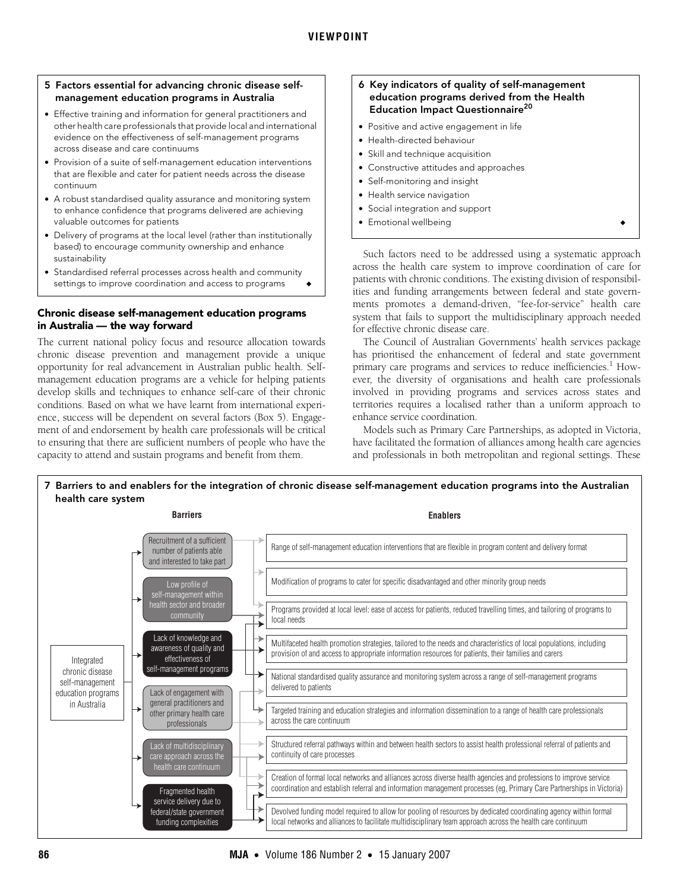#### <span id="page-2-0"></span>**5 Factors essential for advancing chronic disease selfmanagement education programs in Australia**

- **•** Effective training and information for general practitioners and other health care professionals that provide local and international evidence on the effectiveness of self-management programs across disease and care continuums
- **•** Provision of a suite of self-management education interventions that are flexible and cater for patient needs across the disease continuum
- **•** A robust standardised quality assurance and monitoring system to enhance confidence that programs delivered are achieving valuable outcomes for patients
- **•** Delivery of programs at the local level (rather than institutionally based) to encourage community ownership and enhance sustainability
- **•** Standardised referral processes across health and community settings to improve coordination and access to programs

## **Chronic disease self-management education programs in Australia — the way forward**

The current national policy focus and resource allocation towards chronic disease prevention and management provide a unique opportunity for real advancement in Australian public health. Selfmanagement education programs are a vehicle for helping patients develop skills and techniques to enhance self-care of their chronic conditions. Based on what we have learnt from international experience, success will be dependent on several factors [\(Box 5](#page-2-0)). Engagement of and endorsement by health care professionals will be critical to ensuring that there are sufficient numbers of people who have the capacity to attend and sustain programs and benefit from them.

## <span id="page-2-1"></span>**6 Key indicators of quality of self-management education programs derived from the Health Education Impact Questionnaire[20](#page-3-13)**

- **•** Positive and active engagement in life
- **•** Health-directed behaviour
- **•** Skill and technique acquisition
- **•** Constructive attitudes and approaches
- **•** Self-monitoring and insight
- **•** Health service navigation
- **•** Social integration and support
- **•** Emotional wellbeing ◆

Such factors need to be addressed using a systematic approach across the health care system to improve coordination of care for patients with chronic conditions. The existing division of responsibilities and funding arrangements between federal and state governments promotes a demand-driven, "fee-for-service" health care system that fails to support the multidisciplinary approach needed for effective chronic disease care.

The Council of Australian Governments' health services package has prioritised the enhancement of federal and state government primary care programs and services to reduce inefficiencies.<sup>[1](#page-3-1)</sup> However, the diversity of organisations and health care professionals involved in providing programs and services across states and territories requires a localised rather than a uniform approach to enhance service coordination.

Models such as Primary Care Partnerships, as adopted in Victoria, have facilitated the formation of alliances among health care agencies and professionals in both metropolitan and regional settings. These

<span id="page-2-2"></span>